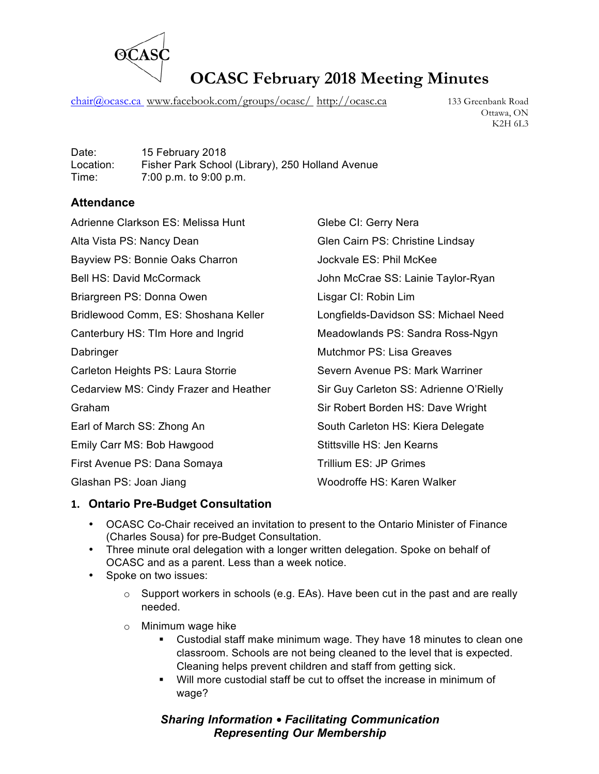

chair@ocasc.ca\_www.facebook.com/groups/ocasc/\_http://ocasc.ca 133 Greenbank Road

Ottawa, ON K2H 6L3

Date: 15 February 2018 Location: Fisher Park School (Library), 250 Holland Avenue Time: 7:00 p.m. to 9:00 p.m.

### **Attendance**

| Adrienne Clarkson ES: Melissa Hunt     | Glebe CI: Gerry Nera                   |
|----------------------------------------|----------------------------------------|
| Alta Vista PS: Nancy Dean              | Glen Cairn PS: Christine Lindsay       |
| Bayview PS: Bonnie Oaks Charron        | Jockvale ES: Phil McKee                |
| <b>Bell HS: David McCormack</b>        | John McCrae SS: Lainie Taylor-Ryan     |
| Briargreen PS: Donna Owen              | Lisgar CI: Robin Lim                   |
| Bridlewood Comm, ES: Shoshana Keller   | Longfields-Davidson SS: Michael Need   |
| Canterbury HS: TIm Hore and Ingrid     | Meadowlands PS: Sandra Ross-Ngyn       |
| Dabringer                              | <b>Mutchmor PS: Lisa Greaves</b>       |
| Carleton Heights PS: Laura Storrie     | Severn Avenue PS: Mark Warriner        |
| Cedarview MS: Cindy Frazer and Heather | Sir Guy Carleton SS: Adrienne O'Rielly |
| Graham                                 | Sir Robert Borden HS: Dave Wright      |
| Earl of March SS: Zhong An             | South Carleton HS: Kiera Delegate      |
| Emily Carr MS: Bob Hawgood             | Stittsville HS: Jen Kearns             |
| First Avenue PS: Dana Somaya           | Trillium ES: JP Grimes                 |
| Glashan PS: Joan Jiang                 | Woodroffe HS: Karen Walker             |
|                                        |                                        |

#### **1. Ontario Pre-Budget Consultation**

- OCASC Co-Chair received an invitation to present to the Ontario Minister of Finance (Charles Sousa) for pre-Budget Consultation.
- Three minute oral delegation with a longer written delegation. Spoke on behalf of OCASC and as a parent. Less than a week notice.
- Spoke on two issues:
	- $\circ$  Support workers in schools (e.g. EAs). Have been cut in the past and are really needed.
	- o Minimum wage hike
		- Custodial staff make minimum wage. They have 18 minutes to clean one classroom. Schools are not being cleaned to the level that is expected. Cleaning helps prevent children and staff from getting sick.
		- § Will more custodial staff be cut to offset the increase in minimum of wage?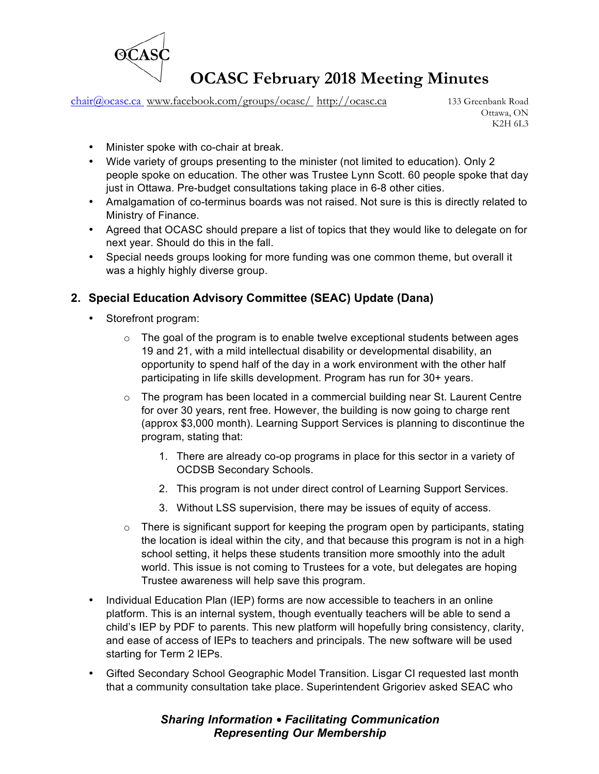

chair@ocasc.ca www.facebook.com/groups/ocasc/ http://ocasc.ca 133 Greenbank Road

Ottawa, ON K2H 6L3

- Minister spoke with co-chair at break.
- Wide variety of groups presenting to the minister (not limited to education). Only 2 people spoke on education. The other was Trustee Lynn Scott. 60 people spoke that day just in Ottawa. Pre-budget consultations taking place in 6-8 other cities.
- Amalgamation of co-terminus boards was not raised. Not sure is this is directly related to Ministry of Finance.
- Agreed that OCASC should prepare a list of topics that they would like to delegate on for next year. Should do this in the fall.
- Special needs groups looking for more funding was one common theme, but overall it was a highly highly diverse group.

### **2. Special Education Advisory Committee (SEAC) Update (Dana)**

- Storefront program:
	- $\circ$  The goal of the program is to enable twelve exceptional students between ages 19 and 21, with a mild intellectual disability or developmental disability, an opportunity to spend half of the day in a work environment with the other half participating in life skills development. Program has run for 30+ years.
	- $\circ$  The program has been located in a commercial building near St. Laurent Centre for over 30 years, rent free. However, the building is now going to charge rent (approx \$3,000 month). Learning Support Services is planning to discontinue the program, stating that:
		- 1. There are already co-op programs in place for this sector in a variety of OCDSB Secondary Schools.
		- 2. This program is not under direct control of Learning Support Services.
		- 3. Without LSS supervision, there may be issues of equity of access.
	- o There is significant support for keeping the program open by participants, stating the location is ideal within the city, and that because this program is not in a high school setting, it helps these students transition more smoothly into the adult world. This issue is not coming to Trustees for a vote, but delegates are hoping Trustee awareness will help save this program.
- Individual Education Plan (IEP) forms are now accessible to teachers in an online platform. This is an internal system, though eventually teachers will be able to send a child's IEP by PDF to parents. This new platform will hopefully bring consistency, clarity, and ease of access of IEPs to teachers and principals. The new software will be used starting for Term 2 IEPs.
- Gifted Secondary School Geographic Model Transition. Lisgar CI requested last month that a community consultation take place. Superintendent Grigoriev asked SEAC who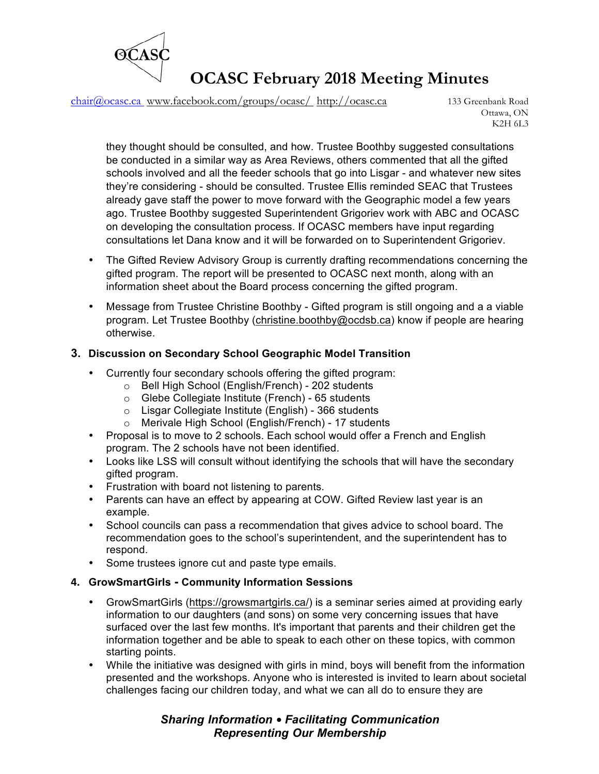

chair@ocasc.ca www.facebook.com/groups/ocasc/ http://ocasc.ca 133 Greenbank Road

Ottawa, ON K2H 6L3

they thought should be consulted, and how. Trustee Boothby suggested consultations be conducted in a similar way as Area Reviews, others commented that all the gifted schools involved and all the feeder schools that go into Lisgar - and whatever new sites they're considering - should be consulted. Trustee Ellis reminded SEAC that Trustees already gave staff the power to move forward with the Geographic model a few years ago. Trustee Boothby suggested Superintendent Grigoriev work with ABC and OCASC on developing the consultation process. If OCASC members have input regarding consultations let Dana know and it will be forwarded on to Superintendent Grigoriev.

- The Gifted Review Advisory Group is currently drafting recommendations concerning the gifted program. The report will be presented to OCASC next month, along with an information sheet about the Board process concerning the gifted program.
- Message from Trustee Christine Boothby Gifted program is still ongoing and a a viable program. Let Trustee Boothby (christine.boothby@ocdsb.ca) know if people are hearing otherwise.

#### **3. Discussion on Secondary School Geographic Model Transition**

- Currently four secondary schools offering the gifted program:
	- o Bell High School (English/French) 202 students
	- o Glebe Collegiate Institute (French) 65 students
	- o Lisgar Collegiate Institute (English) 366 students
	- o Merivale High School (English/French) 17 students
- Proposal is to move to 2 schools. Each school would offer a French and English program. The 2 schools have not been identified.
- Looks like LSS will consult without identifying the schools that will have the secondary gifted program.
- Frustration with board not listening to parents.
- Parents can have an effect by appearing at COW. Gifted Review last year is an example.
- School councils can pass a recommendation that gives advice to school board. The recommendation goes to the school's superintendent, and the superintendent has to respond.
- Some trustees ignore cut and paste type emails.

#### **4. GrowSmartGirls - Community Information Sessions**

- GrowSmartGirls (https://growsmartgirls.ca/) is a seminar series aimed at providing early information to our daughters (and sons) on some very concerning issues that have surfaced over the last few months. It's important that parents and their children get the information together and be able to speak to each other on these topics, with common starting points.
- While the initiative was designed with girls in mind, boys will benefit from the information presented and the workshops. Anyone who is interested is invited to learn about societal challenges facing our children today, and what we can all do to ensure they are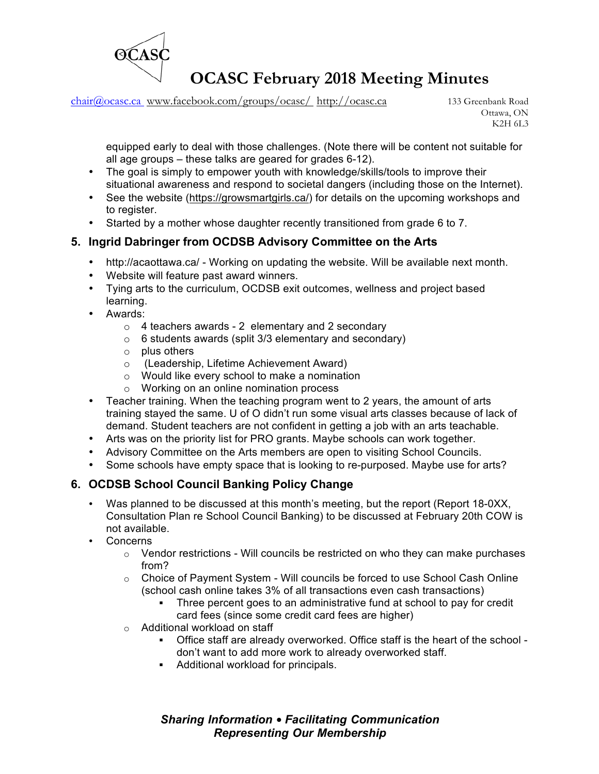

chair@ocasc.ca www.facebook.com/groups/ocasc/ http://ocasc.ca 133 Greenbank Road

Ottawa, ON K2H 6L3

equipped early to deal with those challenges. (Note there will be content not suitable for all age groups – these talks are geared for grades 6-12).

- The goal is simply to empower youth with knowledge/skills/tools to improve their situational awareness and respond to societal dangers (including those on the Internet).
- See the website (https://growsmartgirls.ca/) for details on the upcoming workshops and to register.
- Started by a mother whose daughter recently transitioned from grade 6 to 7.

#### **5. Ingrid Dabringer from OCDSB Advisory Committee on the Arts**

- http://acaottawa.ca/ Working on updating the website. Will be available next month.
- Website will feature past award winners.
- Tying arts to the curriculum, OCDSB exit outcomes, wellness and project based learning.
- Awards:
	- $\circ$  4 teachers awards 2 elementary and 2 secondary
	- $\circ$  6 students awards (split 3/3 elementary and secondary)
	- o plus others
	- o (Leadership, Lifetime Achievement Award)
	- o Would like every school to make a nomination
	- o Working on an online nomination process
- Teacher training. When the teaching program went to 2 years, the amount of arts training stayed the same. U of O didn't run some visual arts classes because of lack of demand. Student teachers are not confident in getting a job with an arts teachable.
- Arts was on the priority list for PRO grants. Maybe schools can work together.
- Advisory Committee on the Arts members are open to visiting School Councils.
- Some schools have empty space that is looking to re-purposed. Maybe use for arts?

#### **6. OCDSB School Council Banking Policy Change**

- Was planned to be discussed at this month's meeting, but the report (Report 18-0XX, Consultation Plan re School Council Banking) to be discussed at February 20th COW is not available.
- Concerns
	- o Vendor restrictions Will councils be restricted on who they can make purchases from?
	- o Choice of Payment System Will councils be forced to use School Cash Online (school cash online takes 3% of all transactions even cash transactions)
		- Three percent goes to an administrative fund at school to pay for credit card fees (since some credit card fees are higher)
	- o Additional workload on staff
		- § Office staff are already overworked. Office staff is the heart of the school don't want to add more work to already overworked staff.
		- Additional workload for principals.